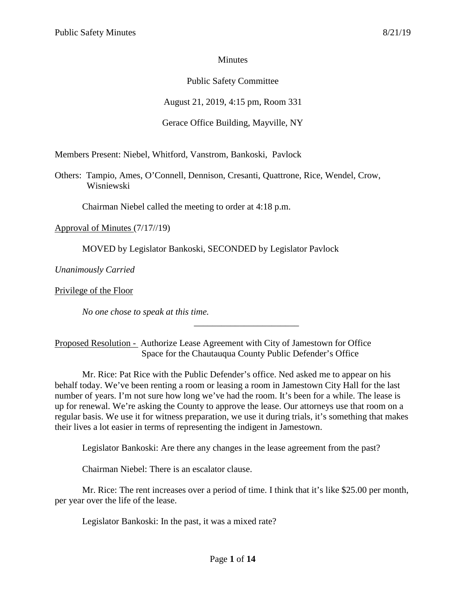# **Minutes**

# Public Safety Committee

August 21, 2019, 4:15 pm, Room 331

# Gerace Office Building, Mayville, NY

Members Present: Niebel, Whitford, Vanstrom, Bankoski, Pavlock

Others: Tampio, Ames, O'Connell, Dennison, Cresanti, Quattrone, Rice, Wendel, Crow, Wisniewski

Chairman Niebel called the meeting to order at 4:18 p.m.

Approval of Minutes (7/17//19)

MOVED by Legislator Bankoski, SECONDED by Legislator Pavlock

*Unanimously Carried*

Privilege of the Floor

*No one chose to speak at this time.*

Proposed Resolution - Authorize Lease Agreement with City of Jamestown for Office Space for the Chautauqua County Public Defender's Office

Mr. Rice: Pat Rice with the Public Defender's office. Ned asked me to appear on his behalf today. We've been renting a room or leasing a room in Jamestown City Hall for the last number of years. I'm not sure how long we've had the room. It's been for a while. The lease is up for renewal. We're asking the County to approve the lease. Our attorneys use that room on a regular basis. We use it for witness preparation, we use it during trials, it's something that makes their lives a lot easier in terms of representing the indigent in Jamestown.

\_\_\_\_\_\_\_\_\_\_\_\_\_\_\_\_\_\_\_\_\_\_\_

Legislator Bankoski: Are there any changes in the lease agreement from the past?

Chairman Niebel: There is an escalator clause.

Mr. Rice: The rent increases over a period of time. I think that it's like \$25.00 per month, per year over the life of the lease.

Legislator Bankoski: In the past, it was a mixed rate?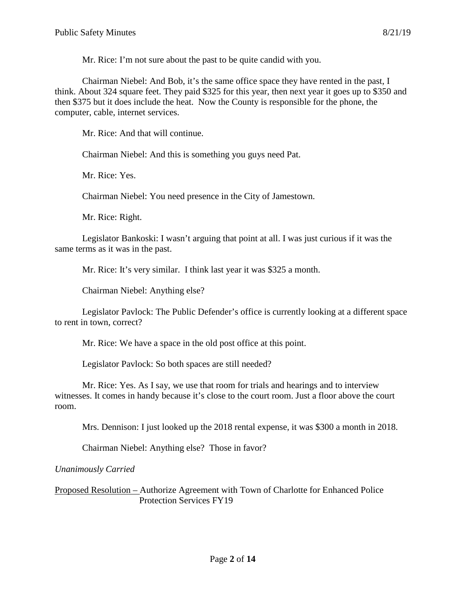Mr. Rice: I'm not sure about the past to be quite candid with you.

Chairman Niebel: And Bob, it's the same office space they have rented in the past, I think. About 324 square feet. They paid \$325 for this year, then next year it goes up to \$350 and then \$375 but it does include the heat. Now the County is responsible for the phone, the computer, cable, internet services.

Mr. Rice: And that will continue.

Chairman Niebel: And this is something you guys need Pat.

Mr. Rice: Yes.

Chairman Niebel: You need presence in the City of Jamestown.

Mr. Rice: Right.

Legislator Bankoski: I wasn't arguing that point at all. I was just curious if it was the same terms as it was in the past.

Mr. Rice: It's very similar. I think last year it was \$325 a month.

Chairman Niebel: Anything else?

Legislator Pavlock: The Public Defender's office is currently looking at a different space to rent in town, correct?

Mr. Rice: We have a space in the old post office at this point.

Legislator Pavlock: So both spaces are still needed?

Mr. Rice: Yes. As I say, we use that room for trials and hearings and to interview witnesses. It comes in handy because it's close to the court room. Just a floor above the court room.

Mrs. Dennison: I just looked up the 2018 rental expense, it was \$300 a month in 2018.

Chairman Niebel: Anything else? Those in favor?

*Unanimously Carried*

Proposed Resolution – Authorize Agreement with Town of Charlotte for Enhanced Police Protection Services FY19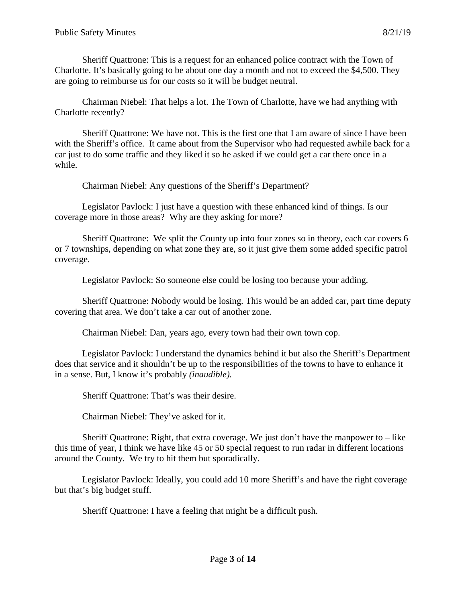Sheriff Quattrone: This is a request for an enhanced police contract with the Town of Charlotte. It's basically going to be about one day a month and not to exceed the \$4,500. They are going to reimburse us for our costs so it will be budget neutral.

Chairman Niebel: That helps a lot. The Town of Charlotte, have we had anything with Charlotte recently?

Sheriff Quattrone: We have not. This is the first one that I am aware of since I have been with the Sheriff's office. It came about from the Supervisor who had requested awhile back for a car just to do some traffic and they liked it so he asked if we could get a car there once in a while.

Chairman Niebel: Any questions of the Sheriff's Department?

Legislator Pavlock: I just have a question with these enhanced kind of things. Is our coverage more in those areas? Why are they asking for more?

Sheriff Quattrone: We split the County up into four zones so in theory, each car covers 6 or 7 townships, depending on what zone they are, so it just give them some added specific patrol coverage.

Legislator Pavlock: So someone else could be losing too because your adding.

Sheriff Quattrone: Nobody would be losing. This would be an added car, part time deputy covering that area. We don't take a car out of another zone.

Chairman Niebel: Dan, years ago, every town had their own town cop.

Legislator Pavlock: I understand the dynamics behind it but also the Sheriff's Department does that service and it shouldn't be up to the responsibilities of the towns to have to enhance it in a sense. But, I know it's probably *(inaudible).*

Sheriff Quattrone: That's was their desire.

Chairman Niebel: They've asked for it.

Sheriff Quattrone: Right, that extra coverage. We just don't have the manpower to  $-$  like this time of year, I think we have like 45 or 50 special request to run radar in different locations around the County. We try to hit them but sporadically.

Legislator Pavlock: Ideally, you could add 10 more Sheriff's and have the right coverage but that's big budget stuff.

Sheriff Quattrone: I have a feeling that might be a difficult push.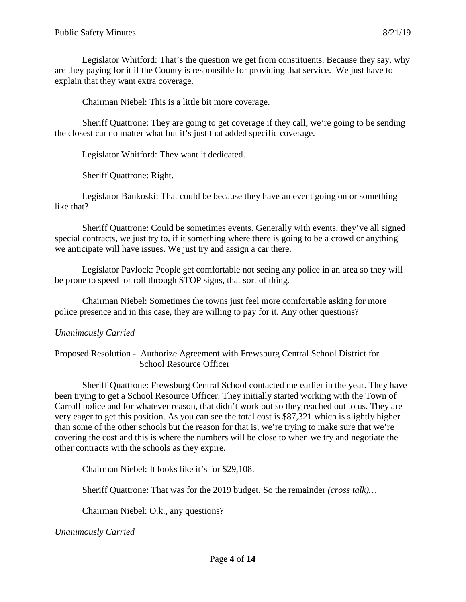Legislator Whitford: That's the question we get from constituents. Because they say, why are they paying for it if the County is responsible for providing that service. We just have to explain that they want extra coverage.

Chairman Niebel: This is a little bit more coverage.

Sheriff Quattrone: They are going to get coverage if they call, we're going to be sending the closest car no matter what but it's just that added specific coverage.

Legislator Whitford: They want it dedicated.

Sheriff Quattrone: Right.

Legislator Bankoski: That could be because they have an event going on or something like that?

Sheriff Quattrone: Could be sometimes events. Generally with events, they've all signed special contracts, we just try to, if it something where there is going to be a crowd or anything we anticipate will have issues. We just try and assign a car there.

Legislator Pavlock: People get comfortable not seeing any police in an area so they will be prone to speed or roll through STOP signs, that sort of thing.

Chairman Niebel: Sometimes the towns just feel more comfortable asking for more police presence and in this case, they are willing to pay for it. Any other questions?

# *Unanimously Carried*

Proposed Resolution - Authorize Agreement with Frewsburg Central School District for School Resource Officer

Sheriff Quattrone: Frewsburg Central School contacted me earlier in the year. They have been trying to get a School Resource Officer. They initially started working with the Town of Carroll police and for whatever reason, that didn't work out so they reached out to us. They are very eager to get this position. As you can see the total cost is \$87,321 which is slightly higher than some of the other schools but the reason for that is, we're trying to make sure that we're covering the cost and this is where the numbers will be close to when we try and negotiate the other contracts with the schools as they expire.

Chairman Niebel: It looks like it's for \$29,108.

Sheriff Quattrone: That was for the 2019 budget. So the remainder *(cross talk)…*

Chairman Niebel: O.k., any questions?

*Unanimously Carried*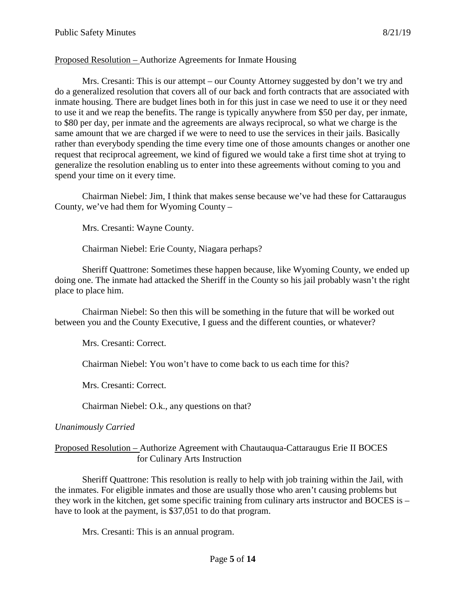### Proposed Resolution – Authorize Agreements for Inmate Housing

Mrs. Cresanti: This is our attempt – our County Attorney suggested by don't we try and do a generalized resolution that covers all of our back and forth contracts that are associated with inmate housing. There are budget lines both in for this just in case we need to use it or they need to use it and we reap the benefits. The range is typically anywhere from \$50 per day, per inmate, to \$80 per day, per inmate and the agreements are always reciprocal, so what we charge is the same amount that we are charged if we were to need to use the services in their jails. Basically rather than everybody spending the time every time one of those amounts changes or another one request that reciprocal agreement, we kind of figured we would take a first time shot at trying to generalize the resolution enabling us to enter into these agreements without coming to you and spend your time on it every time.

Chairman Niebel: Jim, I think that makes sense because we've had these for Cattaraugus County, we've had them for Wyoming County –

Mrs. Cresanti: Wayne County.

Chairman Niebel: Erie County, Niagara perhaps?

Sheriff Quattrone: Sometimes these happen because, like Wyoming County, we ended up doing one. The inmate had attacked the Sheriff in the County so his jail probably wasn't the right place to place him.

Chairman Niebel: So then this will be something in the future that will be worked out between you and the County Executive, I guess and the different counties, or whatever?

Mrs. Cresanti: Correct.

Chairman Niebel: You won't have to come back to us each time for this?

Mrs. Cresanti: Correct.

Chairman Niebel: O.k., any questions on that?

### *Unanimously Carried*

### Proposed Resolution – Authorize Agreement with Chautauqua-Cattaraugus Erie II BOCES for Culinary Arts Instruction

Sheriff Quattrone: This resolution is really to help with job training within the Jail, with the inmates. For eligible inmates and those are usually those who aren't causing problems but they work in the kitchen, get some specific training from culinary arts instructor and BOCES is – have to look at the payment, is \$37,051 to do that program.

Mrs. Cresanti: This is an annual program.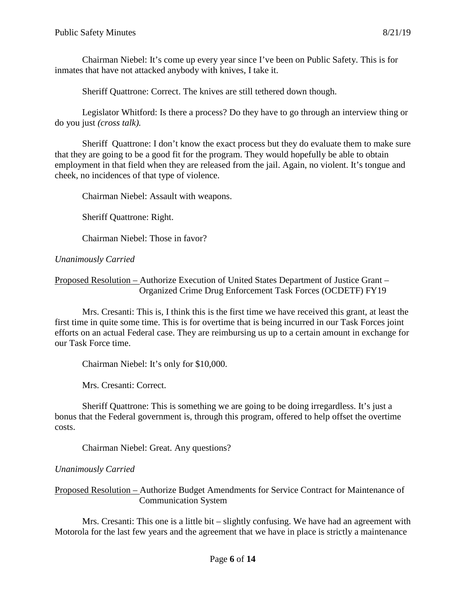Chairman Niebel: It's come up every year since I've been on Public Safety. This is for inmates that have not attacked anybody with knives, I take it.

Sheriff Quattrone: Correct. The knives are still tethered down though.

Legislator Whitford: Is there a process? Do they have to go through an interview thing or do you just *(cross talk).*

Sheriff Quattrone: I don't know the exact process but they do evaluate them to make sure that they are going to be a good fit for the program. They would hopefully be able to obtain employment in that field when they are released from the jail. Again, no violent. It's tongue and cheek, no incidences of that type of violence.

Chairman Niebel: Assault with weapons.

Sheriff Quattrone: Right.

Chairman Niebel: Those in favor?

### *Unanimously Carried*

### Proposed Resolution – Authorize Execution of United States Department of Justice Grant – Organized Crime Drug Enforcement Task Forces (OCDETF) FY19

Mrs. Cresanti: This is, I think this is the first time we have received this grant, at least the first time in quite some time. This is for overtime that is being incurred in our Task Forces joint efforts on an actual Federal case. They are reimbursing us up to a certain amount in exchange for our Task Force time.

Chairman Niebel: It's only for \$10,000.

Mrs. Cresanti: Correct.

Sheriff Quattrone: This is something we are going to be doing irregardless. It's just a bonus that the Federal government is, through this program, offered to help offset the overtime costs.

Chairman Niebel: Great. Any questions?

# *Unanimously Carried*

Proposed Resolution – Authorize Budget Amendments for Service Contract for Maintenance of Communication System

Mrs. Cresanti: This one is a little bit – slightly confusing. We have had an agreement with Motorola for the last few years and the agreement that we have in place is strictly a maintenance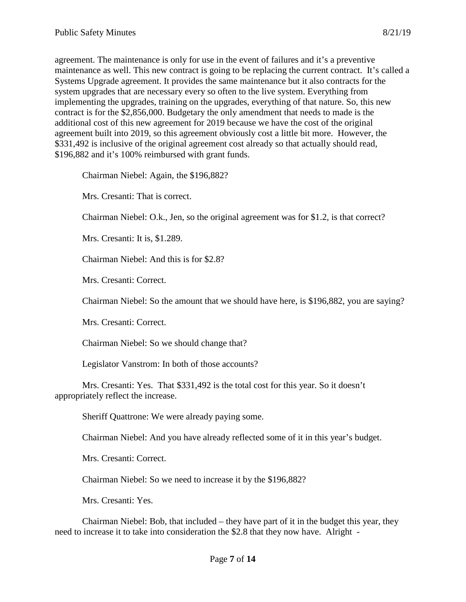agreement. The maintenance is only for use in the event of failures and it's a preventive maintenance as well. This new contract is going to be replacing the current contract. It's called a Systems Upgrade agreement. It provides the same maintenance but it also contracts for the system upgrades that are necessary every so often to the live system. Everything from implementing the upgrades, training on the upgrades, everything of that nature. So, this new contract is for the \$2,856,000. Budgetary the only amendment that needs to made is the additional cost of this new agreement for 2019 because we have the cost of the original agreement built into 2019, so this agreement obviously cost a little bit more. However, the \$331,492 is inclusive of the original agreement cost already so that actually should read, \$196,882 and it's 100% reimbursed with grant funds.

Chairman Niebel: Again, the \$196,882?

Mrs. Cresanti: That is correct.

Chairman Niebel: O.k., Jen, so the original agreement was for \$1.2, is that correct?

Mrs. Cresanti: It is, \$1.289.

Chairman Niebel: And this is for \$2.8?

Mrs. Cresanti: Correct.

Chairman Niebel: So the amount that we should have here, is \$196,882, you are saying?

Mrs. Cresanti: Correct.

Chairman Niebel: So we should change that?

Legislator Vanstrom: In both of those accounts?

Mrs. Cresanti: Yes. That \$331,492 is the total cost for this year. So it doesn't appropriately reflect the increase.

Sheriff Quattrone: We were already paying some.

Chairman Niebel: And you have already reflected some of it in this year's budget.

Mrs. Cresanti: Correct.

Chairman Niebel: So we need to increase it by the \$196,882?

Mrs. Cresanti: Yes.

Chairman Niebel: Bob, that included – they have part of it in the budget this year, they need to increase it to take into consideration the \$2.8 that they now have. Alright -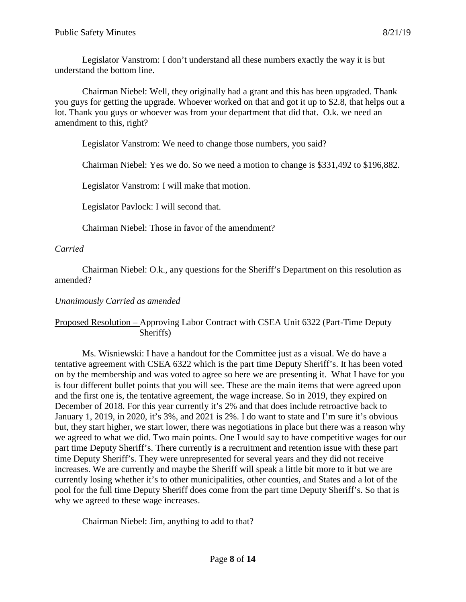Legislator Vanstrom: I don't understand all these numbers exactly the way it is but understand the bottom line.

Chairman Niebel: Well, they originally had a grant and this has been upgraded. Thank you guys for getting the upgrade. Whoever worked on that and got it up to \$2.8, that helps out a lot. Thank you guys or whoever was from your department that did that. O.k. we need an amendment to this, right?

Legislator Vanstrom: We need to change those numbers, you said?

Chairman Niebel: Yes we do. So we need a motion to change is \$331,492 to \$196,882.

Legislator Vanstrom: I will make that motion.

Legislator Pavlock: I will second that.

Chairman Niebel: Those in favor of the amendment?

# *Carried*

Chairman Niebel: O.k., any questions for the Sheriff's Department on this resolution as amended?

### *Unanimously Carried as amended*

### Proposed Resolution – Approving Labor Contract with CSEA Unit 6322 (Part-Time Deputy Sheriffs)

Ms. Wisniewski: I have a handout for the Committee just as a visual. We do have a tentative agreement with CSEA 6322 which is the part time Deputy Sheriff's. It has been voted on by the membership and was voted to agree so here we are presenting it. What I have for you is four different bullet points that you will see. These are the main items that were agreed upon and the first one is, the tentative agreement, the wage increase. So in 2019, they expired on December of 2018. For this year currently it's 2% and that does include retroactive back to January 1, 2019, in 2020, it's 3%, and 2021 is 2%. I do want to state and I'm sure it's obvious but, they start higher, we start lower, there was negotiations in place but there was a reason why we agreed to what we did. Two main points. One I would say to have competitive wages for our part time Deputy Sheriff's. There currently is a recruitment and retention issue with these part time Deputy Sheriff's. They were unrepresented for several years and they did not receive increases. We are currently and maybe the Sheriff will speak a little bit more to it but we are currently losing whether it's to other municipalities, other counties, and States and a lot of the pool for the full time Deputy Sheriff does come from the part time Deputy Sheriff's. So that is why we agreed to these wage increases.

Chairman Niebel: Jim, anything to add to that?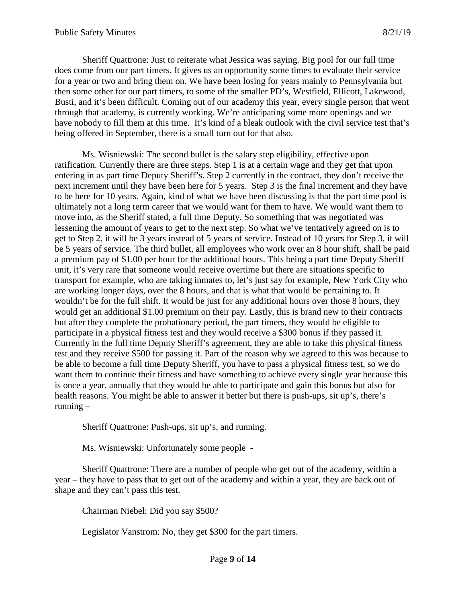Sheriff Quattrone: Just to reiterate what Jessica was saying. Big pool for our full time does come from our part timers. It gives us an opportunity some times to evaluate their service for a year or two and bring them on. We have been losing for years mainly to Pennsylvania but then some other for our part timers, to some of the smaller PD's, Westfield, Ellicott, Lakewood, Busti, and it's been difficult. Coming out of our academy this year, every single person that went through that academy, is currently working. We're anticipating some more openings and we have nobody to fill them at this time. It's kind of a bleak outlook with the civil service test that's being offered in September, there is a small turn out for that also.

Ms. Wisniewski: The second bullet is the salary step eligibility, effective upon ratification. Currently there are three steps. Step 1 is at a certain wage and they get that upon entering in as part time Deputy Sheriff's. Step 2 currently in the contract, they don't receive the next increment until they have been here for 5 years. Step 3 is the final increment and they have to be here for 10 years. Again, kind of what we have been discussing is that the part time pool is ultimately not a long term career that we would want for them to have. We would want them to move into, as the Sheriff stated, a full time Deputy. So something that was negotiated was lessening the amount of years to get to the next step. So what we've tentatively agreed on is to get to Step 2, it will be 3 years instead of 5 years of service. Instead of 10 years for Step 3, it will be 5 years of service. The third bullet, all employees who work over an 8 hour shift, shall be paid a premium pay of \$1.00 per hour for the additional hours. This being a part time Deputy Sheriff unit, it's very rare that someone would receive overtime but there are situations specific to transport for example, who are taking inmates to, let's just say for example, New York City who are working longer days, over the 8 hours, and that is what that would be pertaining to. It wouldn't be for the full shift. It would be just for any additional hours over those 8 hours, they would get an additional \$1.00 premium on their pay. Lastly, this is brand new to their contracts but after they complete the probationary period, the part timers, they would be eligible to participate in a physical fitness test and they would receive a \$300 bonus if they passed it. Currently in the full time Deputy Sheriff's agreement, they are able to take this physical fitness test and they receive \$500 for passing it. Part of the reason why we agreed to this was because to be able to become a full time Deputy Sheriff, you have to pass a physical fitness test, so we do want them to continue their fitness and have something to achieve every single year because this is once a year, annually that they would be able to participate and gain this bonus but also for health reasons. You might be able to answer it better but there is push-ups, sit up's, there's running  $-$ 

Sheriff Quattrone: Push-ups, sit up's, and running.

Ms. Wisniewski: Unfortunately some people -

Sheriff Quattrone: There are a number of people who get out of the academy, within a year – they have to pass that to get out of the academy and within a year, they are back out of shape and they can't pass this test.

Chairman Niebel: Did you say \$500?

Legislator Vanstrom: No, they get \$300 for the part timers.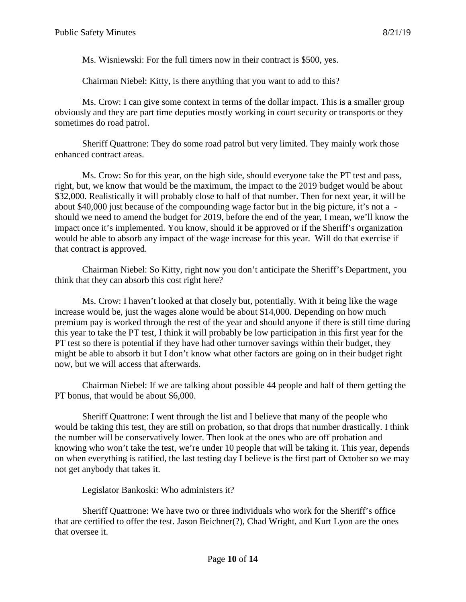Ms. Wisniewski: For the full timers now in their contract is \$500, yes.

Chairman Niebel: Kitty, is there anything that you want to add to this?

Ms. Crow: I can give some context in terms of the dollar impact. This is a smaller group obviously and they are part time deputies mostly working in court security or transports or they sometimes do road patrol.

Sheriff Quattrone: They do some road patrol but very limited. They mainly work those enhanced contract areas.

Ms. Crow: So for this year, on the high side, should everyone take the PT test and pass, right, but, we know that would be the maximum, the impact to the 2019 budget would be about \$32,000. Realistically it will probably close to half of that number. Then for next year, it will be about \$40,000 just because of the compounding wage factor but in the big picture, it's not a should we need to amend the budget for 2019, before the end of the year, I mean, we'll know the impact once it's implemented. You know, should it be approved or if the Sheriff's organization would be able to absorb any impact of the wage increase for this year. Will do that exercise if that contract is approved.

Chairman Niebel: So Kitty, right now you don't anticipate the Sheriff's Department, you think that they can absorb this cost right here?

Ms. Crow: I haven't looked at that closely but, potentially. With it being like the wage increase would be, just the wages alone would be about \$14,000. Depending on how much premium pay is worked through the rest of the year and should anyone if there is still time during this year to take the PT test, I think it will probably be low participation in this first year for the PT test so there is potential if they have had other turnover savings within their budget, they might be able to absorb it but I don't know what other factors are going on in their budget right now, but we will access that afterwards.

Chairman Niebel: If we are talking about possible 44 people and half of them getting the PT bonus, that would be about \$6,000.

Sheriff Quattrone: I went through the list and I believe that many of the people who would be taking this test, they are still on probation, so that drops that number drastically. I think the number will be conservatively lower. Then look at the ones who are off probation and knowing who won't take the test, we're under 10 people that will be taking it. This year, depends on when everything is ratified, the last testing day I believe is the first part of October so we may not get anybody that takes it.

Legislator Bankoski: Who administers it?

Sheriff Quattrone: We have two or three individuals who work for the Sheriff's office that are certified to offer the test. Jason Beichner(?), Chad Wright, and Kurt Lyon are the ones that oversee it.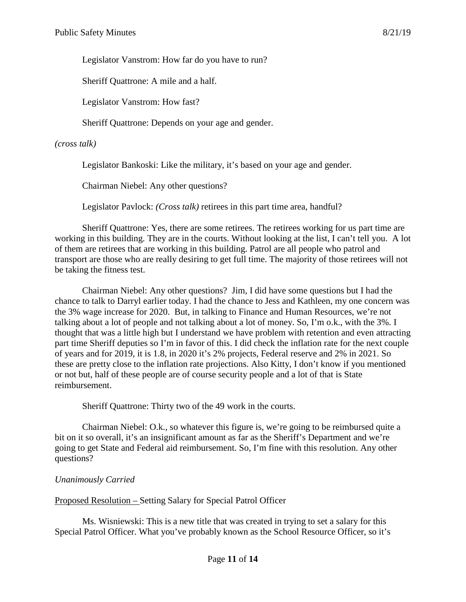Legislator Vanstrom: How far do you have to run?

Sheriff Quattrone: A mile and a half.

Legislator Vanstrom: How fast?

Sheriff Quattrone: Depends on your age and gender.

*(cross talk)*

Legislator Bankoski: Like the military, it's based on your age and gender.

Chairman Niebel: Any other questions?

Legislator Pavlock: *(Cross talk)* retirees in this part time area, handful?

Sheriff Quattrone: Yes, there are some retirees. The retirees working for us part time are working in this building. They are in the courts. Without looking at the list, I can't tell you. A lot of them are retirees that are working in this building. Patrol are all people who patrol and transport are those who are really desiring to get full time. The majority of those retirees will not be taking the fitness test.

Chairman Niebel: Any other questions? Jim, I did have some questions but I had the chance to talk to Darryl earlier today. I had the chance to Jess and Kathleen, my one concern was the 3% wage increase for 2020. But, in talking to Finance and Human Resources, we're not talking about a lot of people and not talking about a lot of money. So, I'm o.k., with the 3%. I thought that was a little high but I understand we have problem with retention and even attracting part time Sheriff deputies so I'm in favor of this. I did check the inflation rate for the next couple of years and for 2019, it is 1.8, in 2020 it's 2% projects, Federal reserve and 2% in 2021. So these are pretty close to the inflation rate projections. Also Kitty, I don't know if you mentioned or not but, half of these people are of course security people and a lot of that is State reimbursement.

Sheriff Quattrone: Thirty two of the 49 work in the courts.

Chairman Niebel: O.k., so whatever this figure is, we're going to be reimbursed quite a bit on it so overall, it's an insignificant amount as far as the Sheriff's Department and we're going to get State and Federal aid reimbursement. So, I'm fine with this resolution. Any other questions?

### *Unanimously Carried*

Proposed Resolution – Setting Salary for Special Patrol Officer

Ms. Wisniewski: This is a new title that was created in trying to set a salary for this Special Patrol Officer. What you've probably known as the School Resource Officer, so it's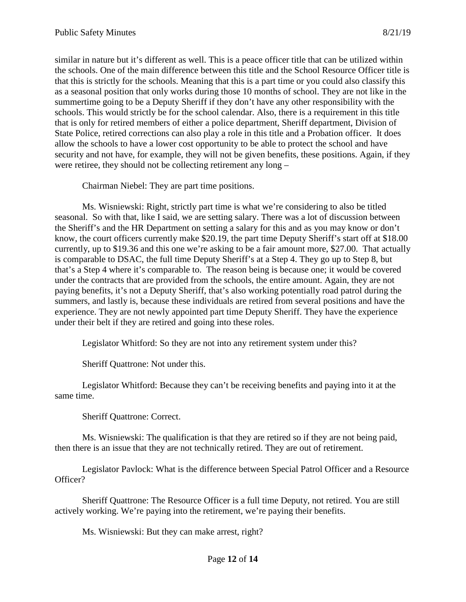similar in nature but it's different as well. This is a peace officer title that can be utilized within the schools. One of the main difference between this title and the School Resource Officer title is that this is strictly for the schools. Meaning that this is a part time or you could also classify this as a seasonal position that only works during those 10 months of school. They are not like in the summertime going to be a Deputy Sheriff if they don't have any other responsibility with the schools. This would strictly be for the school calendar. Also, there is a requirement in this title that is only for retired members of either a police department, Sheriff department, Division of State Police, retired corrections can also play a role in this title and a Probation officer. It does allow the schools to have a lower cost opportunity to be able to protect the school and have security and not have, for example, they will not be given benefits, these positions. Again, if they were retiree, they should not be collecting retirement any long –

Chairman Niebel: They are part time positions.

Ms. Wisniewski: Right, strictly part time is what we're considering to also be titled seasonal. So with that, like I said, we are setting salary. There was a lot of discussion between the Sheriff's and the HR Department on setting a salary for this and as you may know or don't know, the court officers currently make \$20.19, the part time Deputy Sheriff's start off at \$18.00 currently, up to \$19.36 and this one we're asking to be a fair amount more, \$27.00. That actually is comparable to DSAC, the full time Deputy Sheriff's at a Step 4. They go up to Step 8, but that's a Step 4 where it's comparable to. The reason being is because one; it would be covered under the contracts that are provided from the schools, the entire amount. Again, they are not paying benefits, it's not a Deputy Sheriff, that's also working potentially road patrol during the summers, and lastly is, because these individuals are retired from several positions and have the experience. They are not newly appointed part time Deputy Sheriff. They have the experience under their belt if they are retired and going into these roles.

Legislator Whitford: So they are not into any retirement system under this?

Sheriff Quattrone: Not under this.

Legislator Whitford: Because they can't be receiving benefits and paying into it at the same time.

Sheriff Quattrone: Correct.

Ms. Wisniewski: The qualification is that they are retired so if they are not being paid, then there is an issue that they are not technically retired. They are out of retirement.

Legislator Pavlock: What is the difference between Special Patrol Officer and a Resource Officer?

Sheriff Quattrone: The Resource Officer is a full time Deputy, not retired. You are still actively working. We're paying into the retirement, we're paying their benefits.

Ms. Wisniewski: But they can make arrest, right?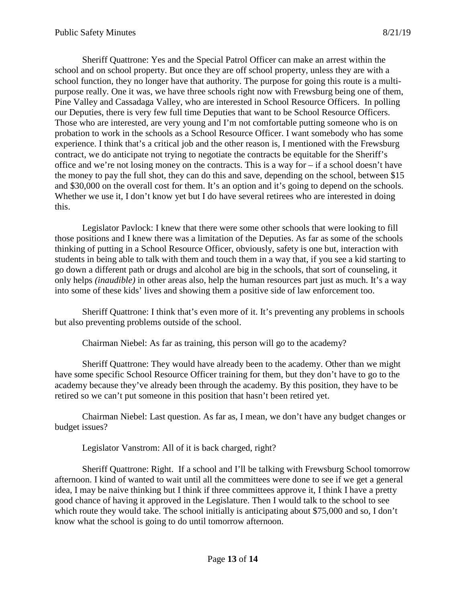Sheriff Quattrone: Yes and the Special Patrol Officer can make an arrest within the school and on school property. But once they are off school property, unless they are with a school function, they no longer have that authority. The purpose for going this route is a multipurpose really. One it was, we have three schools right now with Frewsburg being one of them, Pine Valley and Cassadaga Valley, who are interested in School Resource Officers. In polling our Deputies, there is very few full time Deputies that want to be School Resource Officers. Those who are interested, are very young and I'm not comfortable putting someone who is on probation to work in the schools as a School Resource Officer. I want somebody who has some experience. I think that's a critical job and the other reason is, I mentioned with the Frewsburg contract, we do anticipate not trying to negotiate the contracts be equitable for the Sheriff's office and we're not losing money on the contracts. This is a way for – if a school doesn't have the money to pay the full shot, they can do this and save, depending on the school, between \$15 and \$30,000 on the overall cost for them. It's an option and it's going to depend on the schools. Whether we use it, I don't know yet but I do have several retirees who are interested in doing this.

Legislator Pavlock: I knew that there were some other schools that were looking to fill those positions and I knew there was a limitation of the Deputies. As far as some of the schools thinking of putting in a School Resource Officer, obviously, safety is one but, interaction with students in being able to talk with them and touch them in a way that, if you see a kid starting to go down a different path or drugs and alcohol are big in the schools, that sort of counseling, it only helps *(inaudible)* in other areas also, help the human resources part just as much. It's a way into some of these kids' lives and showing them a positive side of law enforcement too.

Sheriff Quattrone: I think that's even more of it. It's preventing any problems in schools but also preventing problems outside of the school.

Chairman Niebel: As far as training, this person will go to the academy?

Sheriff Quattrone: They would have already been to the academy. Other than we might have some specific School Resource Officer training for them, but they don't have to go to the academy because they've already been through the academy. By this position, they have to be retired so we can't put someone in this position that hasn't been retired yet.

Chairman Niebel: Last question. As far as, I mean, we don't have any budget changes or budget issues?

Legislator Vanstrom: All of it is back charged, right?

Sheriff Quattrone: Right. If a school and I'll be talking with Frewsburg School tomorrow afternoon. I kind of wanted to wait until all the committees were done to see if we get a general idea, I may be naive thinking but I think if three committees approve it, I think I have a pretty good chance of having it approved in the Legislature. Then I would talk to the school to see which route they would take. The school initially is anticipating about \$75,000 and so, I don't know what the school is going to do until tomorrow afternoon.